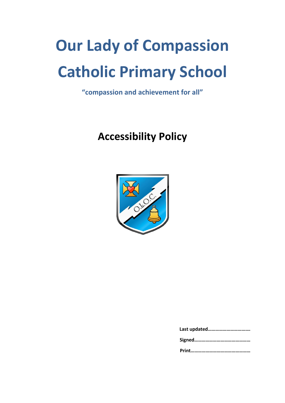# **Our Lady of Compassion Catholic Primary School**

**"compassion and achievement for all"**

# **Accessibility Policy**

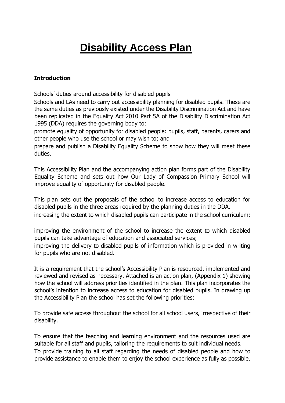## **Disability Access Plan**

#### **Introduction**

Schools' duties around accessibility for disabled pupils

Schools and LAs need to carry out accessibility planning for disabled pupils. These are the same duties as previously existed under the Disability Discrimination Act and have been replicated in the Equality Act 2010 Part 5A of the Disability Discrimination Act 1995 (DDA) requires the governing body to:

promote equality of opportunity for disabled people: pupils, staff, parents, carers and other people who use the school or may wish to; and

prepare and publish a Disability Equality Scheme to show how they will meet these duties.

This Accessibility Plan and the accompanying action plan forms part of the Disability Equality Scheme and sets out how Our Lady of Compassion Primary School will improve equality of opportunity for disabled people.

This plan sets out the proposals of the school to increase access to education for disabled pupils in the three areas required by the planning duties in the DDA. increasing the extent to which disabled pupils can participate in the school curriculum;

improving the environment of the school to increase the extent to which disabled pupils can take advantage of education and associated services;

improving the delivery to disabled pupils of information which is provided in writing for pupils who are not disabled.

It is a requirement that the school's Accessibility Plan is resourced, implemented and reviewed and revised as necessary. Attached is an action plan, (Appendix 1) showing how the school will address priorities identified in the plan. This plan incorporates the school's intention to increase access to education for disabled pupils. In drawing up the Accessibility Plan the school has set the following priorities:

To provide safe access throughout the school for all school users, irrespective of their disability.

To ensure that the teaching and learning environment and the resources used are suitable for all staff and pupils, tailoring the requirements to suit individual needs. To provide training to all staff regarding the needs of disabled people and how to provide assistance to enable them to enjoy the school experience as fully as possible.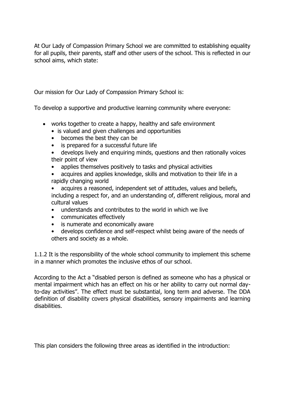At Our Lady of Compassion Primary School we are committed to establishing equality for all pupils, their parents, staff and other users of the school. This is reflected in our school aims, which state:

Our mission for Our Lady of Compassion Primary School is:

To develop a supportive and productive learning community where everyone:

- works together to create a happy, healthy and safe environment
	- is valued and given challenges and opportunities
	- becomes the best they can be
	- is prepared for a successful future life
	- develops lively and enquiring minds, questions and then rationally voices their point of view
	- applies themselves positively to tasks and physical activities
	- acquires and applies knowledge, skills and motivation to their life in a rapidly changing world
	- acquires a reasoned, independent set of attitudes, values and beliefs, including a respect for, and an understanding of, different religious, moral and cultural values
	- understands and contributes to the world in which we live
	- communicates effectively
	- is numerate and economically aware
	- develops confidence and self-respect whilst being aware of the needs of others and society as a whole.

1.1.2 It is the responsibility of the whole school community to implement this scheme in a manner which promotes the inclusive ethos of our school.

According to the Act a "disabled person is defined as someone who has a physical or mental impairment which has an effect on his or her ability to carry out normal dayto-day activities". The effect must be substantial, long term and adverse. The DDA definition of disability covers physical disabilities, sensory impairments and learning disabilities.

This plan considers the following three areas as identified in the introduction: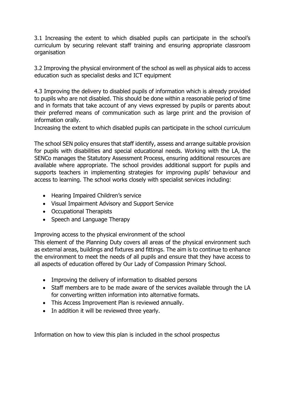3.1 Increasing the extent to which disabled pupils can participate in the school's curriculum by securing relevant staff training and ensuring appropriate classroom organisation

3.2 Improving the physical environment of the school as well as physical aids to access education such as specialist desks and ICT equipment

4.3 Improving the delivery to disabled pupils of information which is already provided to pupils who are not disabled. This should be done within a reasonable period of time and in formats that take account of any views expressed by pupils or parents about their preferred means of communication such as large print and the provision of information orally.

Increasing the extent to which disabled pupils can participate in the school curriculum

The school SEN policy ensures that staff identify, assess and arrange suitable provision for pupils with disabilities and special educational needs. Working with the LA, the SENCo manages the Statutory Assessment Process, ensuring additional resources are available where appropriate. The school provides additional support for pupils and supports teachers in implementing strategies for improving pupils' behaviour and access to learning. The school works closely with specialist services including:

- Hearing Impaired Children's service
- Visual Impairment Advisory and Support Service
- Occupational Therapists
- Speech and Language Therapy

Improving access to the physical environment of the school

This element of the Planning Duty covers all areas of the physical environment such as external areas, buildings and fixtures and fittings. The aim is to continue to enhance the environment to meet the needs of all pupils and ensure that they have access to all aspects of education offered by Our Lady of Compassion Primary School.

- Improving the delivery of information to disabled persons
- Staff members are to be made aware of the services available through the LA for converting written information into alternative formats.
- This Access Improvement Plan is reviewed annually.
- In addition it will be reviewed three yearly.

Information on how to view this plan is included in the school prospectus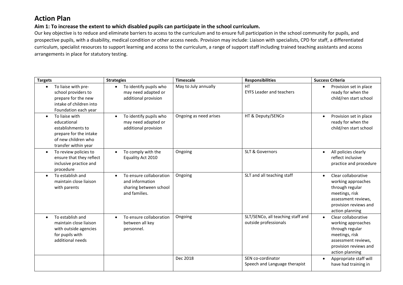## **Action Plan**

**Aim 1: To increase the extent to which disabled pupils can participate in the school curriculum.** 

Our key objective is to reduce and eliminate barriers to access to the curriculum and to ensure full participation in the school community for pupils, and prospective pupils, with a disability, medical condition or other access needs. Provision may include: Liaison with specialists, CPD for staff, a differentiated curriculum, specialist resources to support learning and access to the curriculum, a range of support staff including trained teaching assistants and access arrangements in place for statutory testing.

| <b>Targets</b>                                                                                                              | <b>Strategies</b>                                                                                  | <b>Timescale</b>       | <b>Responsibilities</b>                                    | <b>Success Criteria</b>                                                                                                                                        |
|-----------------------------------------------------------------------------------------------------------------------------|----------------------------------------------------------------------------------------------------|------------------------|------------------------------------------------------------|----------------------------------------------------------------------------------------------------------------------------------------------------------------|
| To liaise with pre-<br>school providers to<br>prepare for the new<br>intake of children into<br>Foundation each year        | To identify pupils who<br>$\bullet$<br>may need adapted or<br>additional provision                 | May to July annually   | HT<br><b>EYFS Leader and teachers</b>                      | Provision set in place<br>$\bullet$<br>ready for when the<br>child/ren start school                                                                            |
| To liaise with<br>educational<br>establishments to<br>prepare for the intake<br>of new children who<br>transfer within year | To identify pupils who<br>$\bullet$<br>may need adapted or<br>additional provision                 | Ongoing as need arises | HT & Deputy/SENCo                                          | Provision set in place<br>$\bullet$<br>ready for when the<br>child/ren start school                                                                            |
| To review policies to<br>ensure that they reflect<br>inclusive practice and<br>procedure                                    | To comply with the<br>$\bullet$<br>Equality Act 2010                                               | Ongoing                | <b>SLT &amp; Governors</b>                                 | All policies clearly<br>$\bullet$<br>reflect inclusive<br>practice and procedure                                                                               |
| To establish and<br>$\bullet$<br>maintain close liaison<br>with parents                                                     | To ensure collaboration<br>$\bullet$<br>and information<br>sharing between school<br>and families. | Ongoing                | SLT and all teaching staff                                 | Clear collaborative<br>$\bullet$<br>working approaches<br>through regular<br>meetings, risk<br>assessment reviews,<br>provision reviews and<br>action planning |
| To establish and<br>maintain close liaison<br>with outside agencies<br>for pupils with<br>additional needs                  | To ensure collaboration<br>$\bullet$<br>between all key<br>personnel.                              | Ongoing                | SLT/SENCo, all teaching staff and<br>outside professionals | Clear collaborative<br>$\bullet$<br>working approaches<br>through regular<br>meetings, risk<br>assessment reviews,<br>provision reviews and<br>action planning |
|                                                                                                                             |                                                                                                    | Dec 2018               | SEN co-cordinator<br>Speech and Language therapist         | Appropriate staff will<br>$\bullet$<br>have had training in                                                                                                    |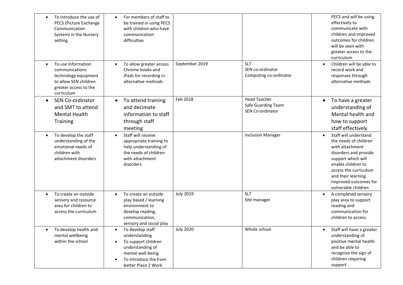| setting                      | To introduce the use of<br>$\bullet$<br>PECS (Picture Exchange<br>Communication<br>System) in the Nursery                   | For members of staff to<br>be trained in using PECS<br>with children who have<br>communication<br>difficulties                                    |                  |                                                               |           | PECS and will be using<br>effectively to<br>communicate with<br>children and improved<br>outcomes for children<br>will be seen with<br>greater access to the<br>curriculum                                                             |
|------------------------------|-----------------------------------------------------------------------------------------------------------------------------|---------------------------------------------------------------------------------------------------------------------------------------------------|------------------|---------------------------------------------------------------|-----------|----------------------------------------------------------------------------------------------------------------------------------------------------------------------------------------------------------------------------------------|
| curriculum                   | To use Information<br>$\bullet$<br>communications<br>technology equipment<br>to allow SEN children<br>greater access to the | To allow greater access<br>Chrome books and<br>iPads for recording in<br>alternative methods                                                      | September 2019   | <b>SLT</b><br>SEN co-ordinator<br>Computing co-ordinator      | $\bullet$ | Children will be able to<br>record work and<br>responses through<br>alternative methods                                                                                                                                                |
| $\bullet$<br><b>Training</b> | SEN Co-ordinator<br>and SMT to attend<br><b>Mental Health</b>                                                               | To attend training<br>and decimate<br>information to staff<br>through staff<br>meeting                                                            | Feb 2018         | <b>Head Teacher</b><br>Safe Guarding Team<br>SEN Co-ordinator | $\bullet$ | To have a greater<br>understanding of<br>Mental health and<br>how to support<br>staff effectively                                                                                                                                      |
| children with                | To develop the staff<br>$\bullet$<br>understanding of the<br>emotional needs of<br>attachment disorders                     | Staff will receive<br>appropriate training to<br>help understanding of<br>the needs of children<br>with attachment<br>disorders                   |                  | <b>Inclusion Manager</b>                                      | $\bullet$ | Staff will understand<br>the needs of children<br>with attachment<br>disorders and provide<br>support which will<br>enable children to<br>access the curriculum<br>and their learning.<br>Improved outcomes for<br>vulnerable children |
|                              | To create an outside<br>sensory and resource<br>area for children to<br>access the curriculum                               | To create an outside<br>play based / learning<br>environment to<br>develop reading,<br>communication,<br>sensory and social play                  | <b>July 2019</b> | <b>SLT</b><br>Site manager                                    | $\bullet$ | A completed sensory<br>play area to support<br>reading and<br>communication for<br>children to access.                                                                                                                                 |
|                              | To develop health and<br>$\bullet$<br>mental wellbeing<br>within the school                                                 | To develop staff<br>understanding<br>To support children<br>understanding of<br>mental well-being<br>To introduce the Even<br>better Place 2 Work | <b>July 2020</b> | Whole school                                                  | $\bullet$ | Staff will have a greater<br>understanding of<br>positive mental health<br>and be able to<br>recognise the sign of<br>children requiring<br>support.                                                                                   |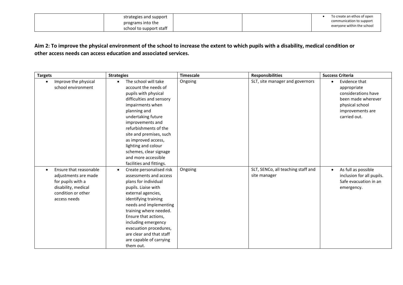| strategies and support                       |  | To create an ethos of open                             |
|----------------------------------------------|--|--------------------------------------------------------|
| programs into the<br>school to support staff |  | communication to support<br>everyone within the school |

#### **Aim 2: To improve the physical environment of the school to increase the extent to which pupils with a disability, medical condition or other access needs can access education and associated services.**

| <b>Targets</b>                                                                                                                                | <b>Strategies</b>                                                                                                                                                                                                                                                                                                                                                          | <b>Timescale</b> | <b>Responsibilities</b>                            | <b>Success Criteria</b>                                                                                                                       |
|-----------------------------------------------------------------------------------------------------------------------------------------------|----------------------------------------------------------------------------------------------------------------------------------------------------------------------------------------------------------------------------------------------------------------------------------------------------------------------------------------------------------------------------|------------------|----------------------------------------------------|-----------------------------------------------------------------------------------------------------------------------------------------------|
| Improve the physical<br>$\bullet$<br>school environment                                                                                       | The school will take<br>$\bullet$<br>account the needs of<br>pupils with physical<br>difficulties and sensory<br>impairments when<br>planning and<br>undertaking future<br>improvements and<br>refurbishments of the<br>site and premises, such<br>as improved access,<br>lighting and colour<br>schemes, clear signage<br>and more accessible<br>facilities and fittings. | Ongoing          | SLT, site manager and governors                    | Evidence that<br>$\bullet$<br>appropriate<br>considerations have<br>been made wherever<br>physical school<br>improvements are<br>carried out. |
| Ensure that reasonable<br>$\bullet$<br>adjustments are made<br>for pupils with a<br>disability, medical<br>condition or other<br>access needs | Create personalised risk<br>$\bullet$<br>assessments and access<br>plans for individual<br>pupils. Liaise with<br>external agencies,<br>identifying training<br>needs and implementing<br>training where needed.<br>Ensure that actions,<br>including emergency<br>evacuation procedures,<br>are clear and that staff<br>are capable of carrying<br>them out.              | Ongoing          | SLT, SENCo, all teaching staff and<br>site manager | As full as possible<br>$\bullet$<br>inclusion for all pupils.<br>Safe evacuation in an<br>emergency.                                          |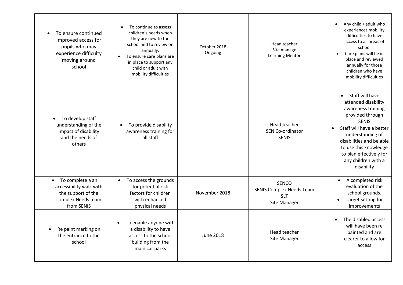| To ensure continued<br>improved access for<br>pupils who may<br>experience difficulty<br>moving around<br>school   | To continue to assess<br>children's needs when<br>they are new to the<br>school and to review on<br>annually.<br>To ensure care plans are<br>$\bullet$<br>in place to support any<br>child or adult with<br>mobility difficulties | October 2018<br>Ongoing | Head teacher<br>Site manage<br><b>Learning Mentor</b>                         | Any child / adult who<br>experiences mobility<br>difficulties to have<br>access to all areas of<br>school<br>Care plans will be in<br>$\bullet$<br>place and reviewed<br>annually for those<br>children who have<br>mobility difficulties                                                       |
|--------------------------------------------------------------------------------------------------------------------|-----------------------------------------------------------------------------------------------------------------------------------------------------------------------------------------------------------------------------------|-------------------------|-------------------------------------------------------------------------------|-------------------------------------------------------------------------------------------------------------------------------------------------------------------------------------------------------------------------------------------------------------------------------------------------|
| To develop staff<br>understanding of the<br>impact of disability<br>and the needs of<br>others                     | To provide disability<br>awareness training for<br>all staff                                                                                                                                                                      |                         | Head teacher<br><b>SEN Co-ordinator</b><br><b>SENIS</b>                       | Staff will have<br>$\bullet$<br>attended disability<br>awareness training<br>provided through<br><b>SENIS</b><br>Staff will have a better<br>$\bullet$<br>understanding of<br>disabilities and be able<br>to use this knowledge<br>to plan effectively for<br>any children with a<br>disability |
| To complete a an<br>$\bullet$<br>accessibility walk with<br>the support of the<br>complex Needs team<br>from SENIS | To access the grounds<br>$\bullet$<br>for potential risk<br>factors for children<br>with enhanced<br>physical needs                                                                                                               | November 2018           | <b>SENCO</b><br><b>SENIS Complex Needs Team</b><br><b>SLT</b><br>Site Manager | A completed risk<br>$\bullet$<br>evaluation of the<br>school grounds.<br>Target setting for<br>improvements                                                                                                                                                                                     |
| Re paint marking on<br>the entrance to the<br>school                                                               | To enable anyone with<br>a disability to have<br>access to the school<br>building from the<br>main car parks                                                                                                                      | <b>June 2018</b>        | Head teacher<br>Site Manager                                                  | The disabled access<br>$\bullet$<br>will have been re<br>painted and are<br>clearer to allow for<br>access                                                                                                                                                                                      |